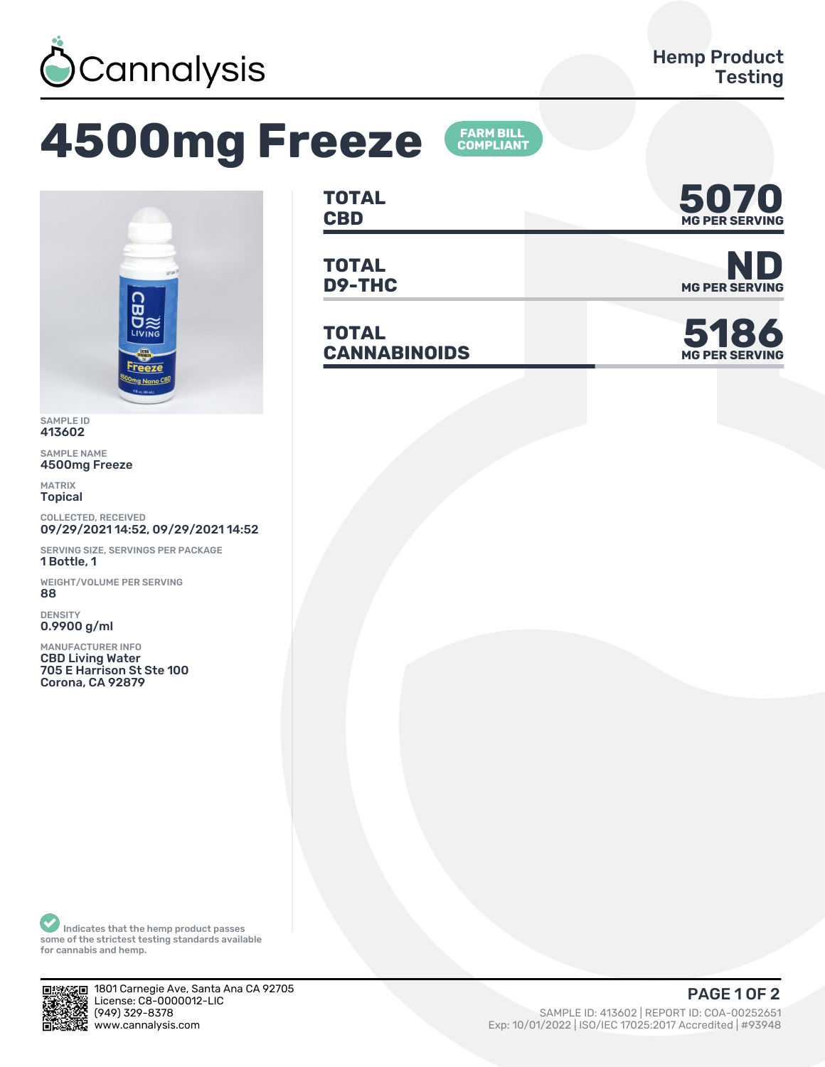

## **4500mg Freeze**





SAMPLE ID 413602

SAMPLE NAME 4500mg Freeze

MATRIX Topical

COLLECTED, RECEIVED 09/29/2021 14:52, 09/29/2021 14:52

SERVING SIZE, SERVINGS PER PACKAGE 1 Bottle, 1

WEIGHT/VOLUME PER SERVING ȄȄ

DENSITY 0.9900 g/ml

MANUFACTURER INFO CBD Living Water 705 E Harrison St Ste 100 Corona, CA 92879

| <b>TOTAL</b> | 5070                  |
|--------------|-----------------------|
| <b>CBD</b>   | <b>MG PER SERVING</b> |

**TOTAL**

**TOTAL**  $CANNABINOIDS$ 



**D9-THC** MG PER SERVING



Indicates that the hemp product passes some of the strictest testing standards available for cannabis and hemp.



1801 Carnegie Ave, Santa Ana CA 92705 License: C8-0000012-LIC<br>(949) 329-8378 (ȅȀȅ) ǿǾȅ-ȄǿȃȄ SAMPLE ID: ȀǽǿȂǼǾ | REPORT ID: COA-ǼǼǾȁǾȂȁǽ